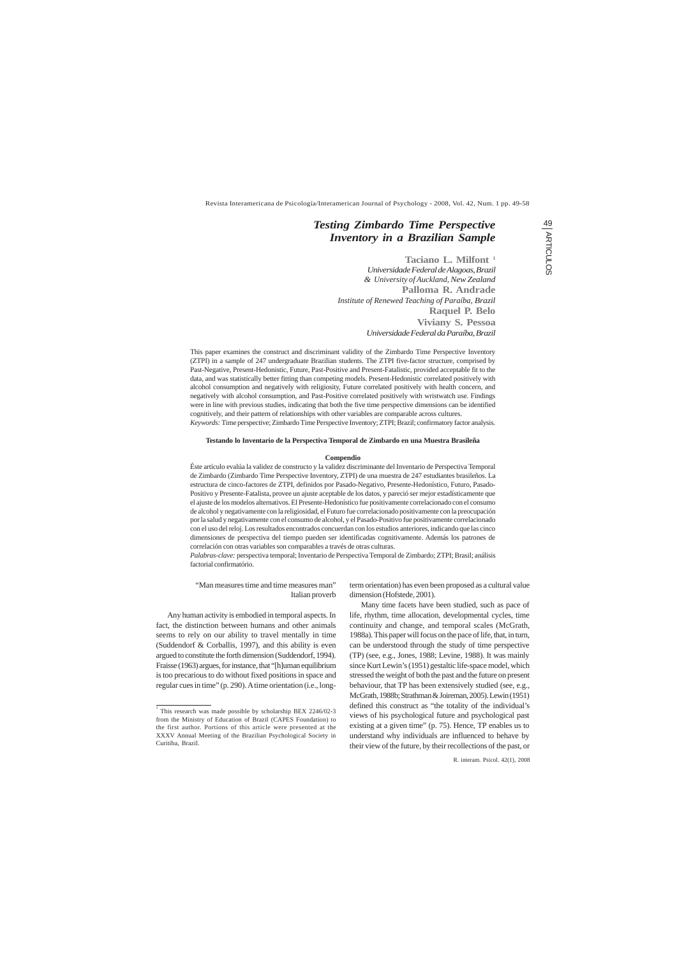Revista Interamericana de Psicología/Interamerican Journal of Psychology - 2008, Vol. 42, Num. 1 pp. 49-58

"Man measures time and time measures man" Italian proverb

Any human activity is embodied in temporal aspects. In fact, the distinction between humans and other animals seems to rely on our ability to travel mentally in time (Suddendorf & Corballis, 1997), and this ability is even argued to constitute the forth dimension (Suddendorf, 1994). Fraisse (1963) argues, for instance, that "[h]uman equilibrium is too precarious to do without fixed positions in space and regular cues in time" (p. 290). A time orientation (i.e., long-

# *Testing Zimbardo Time Perspective Inventory in a Brazilian Sample*

**Taciano L. Milfont** <sup>1</sup> *Universidade Federal de Alagoas, Brazil & University of Auckland, New Zealand* **Palloma R. Andrade** *Institute of Renewed Teaching of Paraíba, Brazil* **Raquel P. Belo Viviany S. Pessoa** *Universidade Federal da Paraíba, Brazil*

This paper examines the construct and discriminant validity of the Zimbardo Time Perspective Inventory (ZTPI) in a sample of 247 undergraduate Brazilian students. The ZTPI five-factor structure, comprised by Past-Negative, Present-Hedonistic, Future, Past-Positive and Present-Fatalistic, provided acceptable fit to the data, and was statistically better fitting than competing models. Present-Hedonistic correlated positively with alcohol consumption and negatively with religiosity, Future correlated positively with health concern, and negatively with alcohol consumption, and Past-Positive correlated positively with wristwatch use. Findings were in line with previous studies, indicating that both the five time perspective dimensions can be identified cognitively, and their pattern of relationships with other variables are comparable across cultures.

*Keywords:* Time perspective; Zimbardo Time Perspective Inventory; ZTPI; Brazil; confirmatory factor analysis.

# **Testando lo Inventario de la Perspectiva Temporal de Zimbardo en una Muestra Brasileña**

#### **Compendio**

Éste artículo evalúa la validez de constructo y la validez discriminante del Inventario de Perspectiva Temporal de Zimbardo (Zimbardo Time Perspective Inventory, ZTPI) de una muestra de 247 estudiantes brasileños. La estructura de cinco-factores de ZTPI, definidos por Pasado-Negativo, Presente-Hedonístico, Futuro, Pasado-Positivo y Presente-Fatalista, provee un ajuste aceptable de los datos, y pareció ser mejor estadísticamente que el ajuste de los modelos alternativos. El Presente-Hedonístico fue positivamente correlacionado con el consumo de alcohol y negativamente con la religiosidad, el Futuro fue correlacionado positivamente con la preocupación por la salud y negativamente con el consumo de alcohol, y el Pasado-Positivo fue positivamente correlacionado con el uso del reloj. Los resultados encontrados concuerdan con los estudios anteriores, indicando que las cinco dimensiones de perspectiva del tiempo pueden ser identificadas cognitivamente. Además los patrones de correlación con otras variables son comparables a través de otras culturas.

*Palabras-clave:* perspectiva temporal; Inventario de Perspectiva Temporal de Zimbardo; ZTPI; Brasil; análisis factorial confirmatório.

> term orientation) has even been proposed as a cultural value dimension (Hofstede, 2001).

Many time facets have been studied, such as pace of life, rhythm, time allocation, developmental cycles, time continuity and change, and temporal scales (McGrath, 1988a). This paper will focus on the pace of life, that, in turn, can be understood through the study of time perspective (TP) (see, e.g., Jones, 1988; Levine, 1988). It was mainly since Kurt Lewin's (1951) gestaltic life-space model, which stressed the weight of both the past and the future on present behaviour, that TP has been extensively studied (see, e.g., McGrath, 1988b; Strathman & Joireman, 2005). Lewin (1951) defined this construct as "the totality of the individual's views of his psychological future and psychological past

existing at a given time" (p. 75). Hence, TP enables us to understand why individuals are influenced to behave by their view of the future, by their recollections of the past, or

the first author. Portions of this article were presented at the XXXV Annual Meeting of the Brazilian Psychological Society in Curitiba, Brazil.

<sup>&</sup>lt;sup>1</sup> This research was made possible by scholarship BEX 2246/02-3 from the Ministry of Education of Brazil (CAPES Foundation) to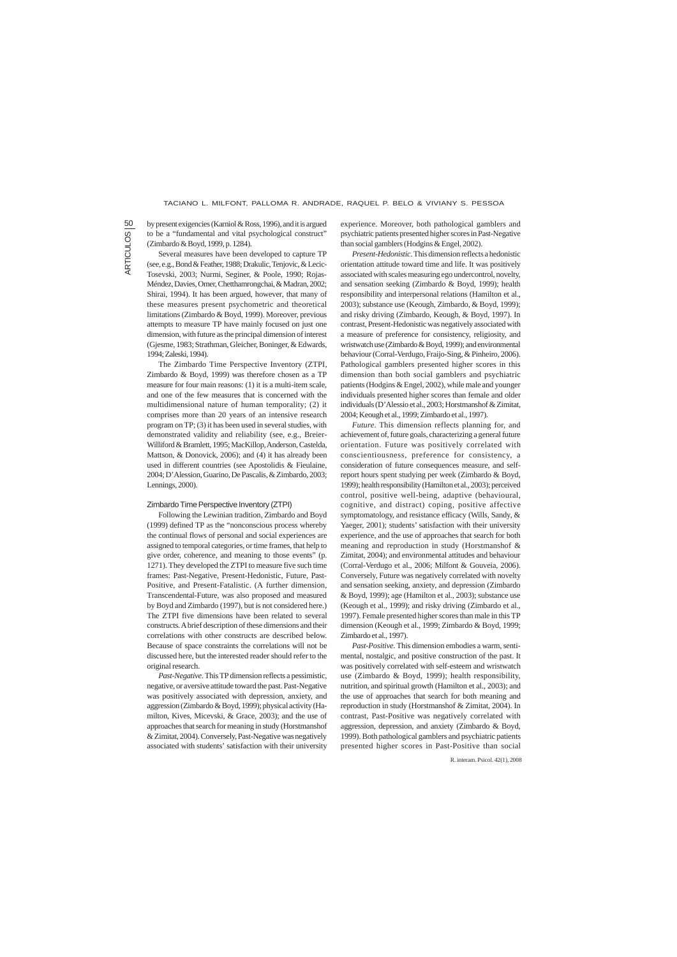# TACIANO L. MILFONT, PALLOMA R. ANDRADE, RAQUEL P. BELO & VIVIANY S. PESSOA

by present exigencies (Karniol & Ross, 1996), and it is argued to be a "fundamental and vital psychological construct" (Zimbardo & Boyd, 1999, p. 1284).

Several measures have been developed to capture TP (see, e.g., Bond & Feather, 1988; Drakulic, Tenjovic, & Lecic-Tosevski, 2003; Nurmi, Seginer, & Poole, 1990; Rojas-Méndez, Davies, Omer, Chetthamrongchai, & Madran, 2002; Shirai, 1994). It has been argued, however, that many of these measures present psychometric and theoretical limitations (Zimbardo & Boyd, 1999). Moreover, previous attempts to measure TP have mainly focused on just one dimension, with future as the principal dimension of interest (Gjesme, 1983; Strathman, Gleicher, Boninger, & Edwards, 1994; Zaleski, 1994).

The Zimbardo Time Perspective Inventory (ZTPI, Zimbardo & Boyd, 1999) was therefore chosen as a TP measure for four main reasons: (1) it is a multi-item scale, and one of the few measures that is concerned with the multidimensional nature of human temporality; (2) it comprises more than 20 years of an intensive research program on TP; (3) it has been used in several studies, with demonstrated validity and reliability (see, e.g., Breier-Williford & Bramlett, 1995; MacKillop, Anderson, Castelda, Mattson, & Donovick, 2006); and (4) it has already been used in different countries (see Apostolidis & Fieulaine, 2004; D'Alession, Guarino, De Pascalis, & Zimbardo, 2003; Lennings, 2000).

### Zimbardo Time Perspective Inventory (ZTPI)

Following the Lewinian tradition, Zimbardo and Boyd (1999) defined TP as the "nonconscious process whereby the continual flows of personal and social experiences are assigned to temporal categories, or time frames, that help to give order, coherence, and meaning to those events" (p. 1271). They developed the ZTPI to measure five such time frames: Past-Negative, Present-Hedonistic, Future, Past-Positive, and Present-Fatalistic. (A further dimension, Transcendental-Future, was also proposed and measured by Boyd and Zimbardo (1997), but is not considered here.) The ZTPI five dimensions have been related to several constructs. A brief description of these dimensions and their correlations with other constructs are described below. Because of space constraints the correlations will not be discussed here, but the interested reader should refer to the original research.

*Past-Negative*. This TP dimension reflects a pessimistic, negative, or aversive attitude toward the past. Past-Negative was positively associated with depression, anxiety, and aggression (Zimbardo & Boyd, 1999); physical activity (Hamilton, Kives, Micevski, & Grace, 2003); and the use of approaches that search for meaning in study (Horstmanshof & Zimitat, 2004). Conversely, Past-Negative was negatively associated with students' satisfaction with their university experience. Moreover, both pathological gamblers and psychiatric patients presented higher scores in Past-Negative than social gamblers (Hodgins & Engel, 2002).

*Present-Hedonistic*. This dimension reflects a hedonistic orientation attitude toward time and life. It was positively associated with scales measuring ego undercontrol, novelty, and sensation seeking (Zimbardo & Boyd, 1999); health responsibility and interpersonal relations (Hamilton et al., 2003); substance use (Keough, Zimbardo, & Boyd, 1999); and risky driving (Zimbardo, Keough, & Boyd, 1997). In contrast, Present-Hedonistic was negatively associated with a measure of preference for consistency, religiosity, and wristwatch use (Zimbardo & Boyd, 1999); and environmental behaviour (Corral-Verdugo, Fraijo-Sing, & Pinheiro, 2006). Pathological gamblers presented higher scores in this dimension than both social gamblers and psychiatric patients (Hodgins & Engel, 2002), while male and younger individuals presented higher scores than female and older individuals (D'Alessio et al., 2003; Horstmanshof & Zimitat, 2004; Keough et al., 1999; Zimbardo et al., 1997).

*Future*. This dimension reflects planning for, and achievement of, future goals, characterizing a general future orientation. Future was positively correlated with conscientiousness, preference for consistency, a consideration of future consequences measure, and selfreport hours spent studying per week (Zimbardo & Boyd, 1999); health responsibility (Hamilton et al., 2003); perceived control, positive well-being, adaptive (behavioural, cognitive, and distract) coping, positive affective symptomatology, and resistance efficacy (Wills, Sandy, & Yaeger, 2001); students' satisfaction with their university experience, and the use of approaches that search for both meaning and reproduction in study (Horstmanshof & Zimitat, 2004); and environmental attitudes and behaviour (Corral-Verdugo et al., 2006; Milfont & Gouveia, 2006). Conversely, Future was negatively correlated with novelty and sensation seeking, anxiety, and depression (Zimbardo & Boyd, 1999); age (Hamilton et al., 2003); substance use (Keough et al., 1999); and risky driving (Zimbardo et al., 1997). Female presented higher scores than male in this TP dimension (Keough et al., 1999; Zimbardo & Boyd, 1999; Zimbardo et al., 1997).

*Past-Positive*. This dimension embodies a warm, sentimental, nostalgic, and positive construction of the past. It was positively correlated with self-esteem and wristwatch use (Zimbardo & Boyd, 1999); health responsibility, nutrition, and spiritual growth (Hamilton et al., 2003); and the use of approaches that search for both meaning and reproduction in study (Horstmanshof & Zimitat, 2004). In contrast, Past-Positive was negatively correlated with

aggression, depression, and anxiety (Zimbardo & Boyd, 1999). Both pathological gamblers and psychiatric patients presented higher scores in Past-Positive than social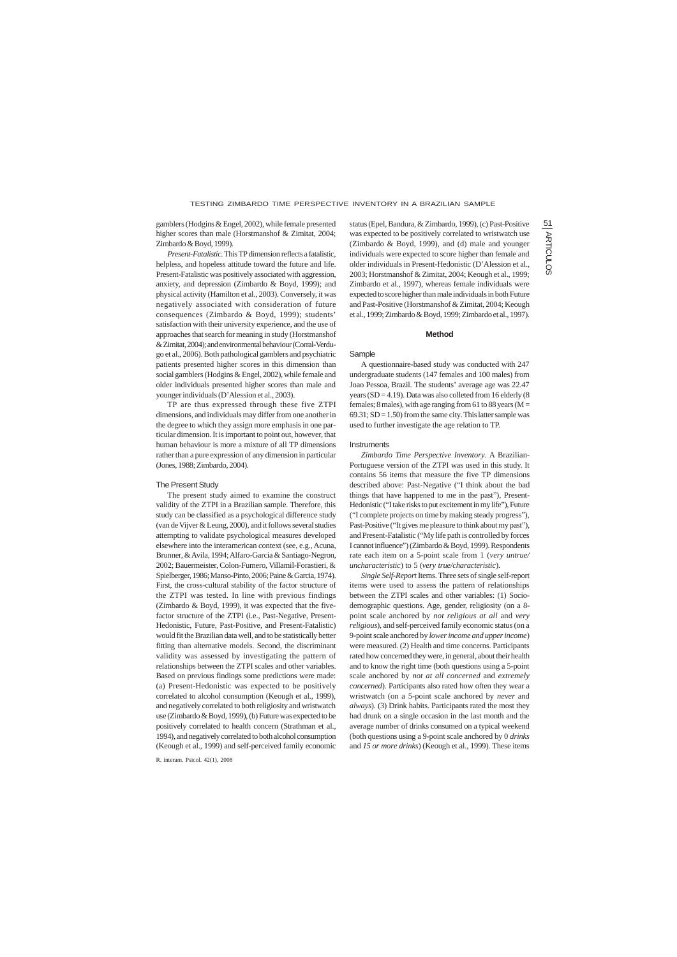# TESTING ZIMBARDO TIME PERSPECTIVE INVENTORY IN A BRAZILIAN SAMPLE

gamblers (Hodgins & Engel, 2002), while female presented higher scores than male (Horstmanshof & Zimitat, 2004; Zimbardo & Boyd, 1999).

*Present-Fatalistic*. This TP dimension reflects a fatalistic, helpless, and hopeless attitude toward the future and life. Present-Fatalistic was positively associated with aggression, anxiety, and depression (Zimbardo & Boyd, 1999); and physical activity (Hamilton et al., 2003). Conversely, it was negatively associated with consideration of future consequences (Zimbardo & Boyd, 1999); students' satisfaction with their university experience, and the use of approaches that search for meaning in study (Horstmanshof & Zimitat, 2004); and environmental behaviour (Corral-Verdugo et al., 2006). Both pathological gamblers and psychiatric patients presented higher scores in this dimension than social gamblers (Hodgins & Engel, 2002), while female and older individuals presented higher scores than male and younger individuals (D'Alession et al., 2003).

TP are thus expressed through these five ZTPI dimensions, and individuals may differ from one another in the degree to which they assign more emphasis in one particular dimension. It is important to point out, however, that human behaviour is more a mixture of all TP dimensions rather than a pure expression of any dimension in particular (Jones, 1988; Zimbardo, 2004).

#### The Present Study

The present study aimed to examine the construct validity of the ZTPI in a Brazilian sample. Therefore, this study can be classified as a psychological difference study (van de Vijver & Leung, 2000), and it follows several studies attempting to validate psychological measures developed elsewhere into the interamerican context (see, e.g., Acuna, Brunner, & Avila, 1994; Alfaro-Garcia & Santiago-Negron, 2002; Bauermeister, Colon-Fumero, Villamil-Forastieri, & Spielberger, 1986; Manso-Pinto, 2006; Paine & Garcia, 1974). First, the cross-cultural stability of the factor structure of the ZTPI was tested. In line with previous findings (Zimbardo & Boyd, 1999), it was expected that the fivefactor structure of the ZTPI (i.e., Past-Negative, Present-Hedonistic, Future, Past-Positive, and Present-Fatalistic) would fit the Brazilian data well, and to be statistically better fitting than alternative models. Second, the discriminant validity was assessed by investigating the pattern of relationships between the ZTPI scales and other variables. Based on previous findings some predictions were made: (a) Present-Hedonistic was expected to be positively correlated to alcohol consumption (Keough et al., 1999), and negatively correlated to both religiosity and wristwatch use (Zimbardo & Boyd, 1999), (b) Future was expected to be positively correlated to health concern (Strathman et al., 1994), and negatively correlated to both alcohol consumption (Keough et al., 1999) and self-perceived family economic

status (Epel, Bandura, & Zimbardo, 1999), (c) Past-Positive was expected to be positively correlated to wristwatch use (Zimbardo & Boyd, 1999), and (d) male and younger individuals were expected to score higher than female and older individuals in Present-Hedonistic (D'Alession et al., 2003; Horstmanshof & Zimitat, 2004; Keough et al., 1999; Zimbardo et al., 1997), whereas female individuals were expected to score higher than male individuals in both Future and Past-Positive (Horstmanshof & Zimitat, 2004; Keough et al., 1999; Zimbardo & Boyd, 1999; Zimbardo et al., 1997).

#### **Method**

Sample

A questionnaire-based study was conducted with 247 undergraduate students (147 females and 100 males) from Joao Pessoa, Brazil. The students' average age was 22.47 years ( $SD = 4.19$ ). Data was also colleted from 16 elderly (8) females; 8 males), with age ranging from 61 to 88 years ( $M =$  $69.31$ ;  $SD = 1.50$ ) from the same city. This latter sample was used to further investigate the age relation to TP.

#### **Instruments**

*Zimbardo Time Perspective Inventory*. A Brazilian-Portuguese version of the ZTPI was used in this study. It contains 56 items that measure the five TP dimensions described above: Past-Negative ("I think about the bad things that have happened to me in the past"), Present-Hedonistic ("I take risks to put excitement in my life"), Future ("I complete projects on time by making steady progress"), Past-Positive ("It gives me pleasure to think about my past"), and Present-Fatalistic ("My life path is controlled by forces I cannot influence") (Zimbardo & Boyd, 1999). Respondents rate each item on a 5-point scale from 1 (*very untrue/ uncharacteristic*) to 5 (*very true/characteristic*).

*Single Self-Report* Items. Three sets of single self-report items were used to assess the pattern of relationships between the ZTPI scales and other variables: (1) Sociodemographic questions. Age, gender, religiosity (on a 8 point scale anchored by *not religious at all* and *very religious*), and self-perceived family economic status (on a 9-point scale anchored by *lower income and upper income*) were measured. (2) Health and time concerns. Participants rated how concerned they were, in general, about their health and to know the right time (both questions using a 5-point scale anchored by *not at all concerned* and *extremely concerned*). Participants also rated how often they wear a wristwatch (on a 5-point scale anchored by *never* and *always*). (3) Drink habits. Participants rated the most they had drunk on a single occasion in the last month and the

average number of drinks consumed on a typical weekend (both questions using a 9-point scale anchored by 0 *drinks* and *15 or more drinks*) (Keough et al., 1999). These items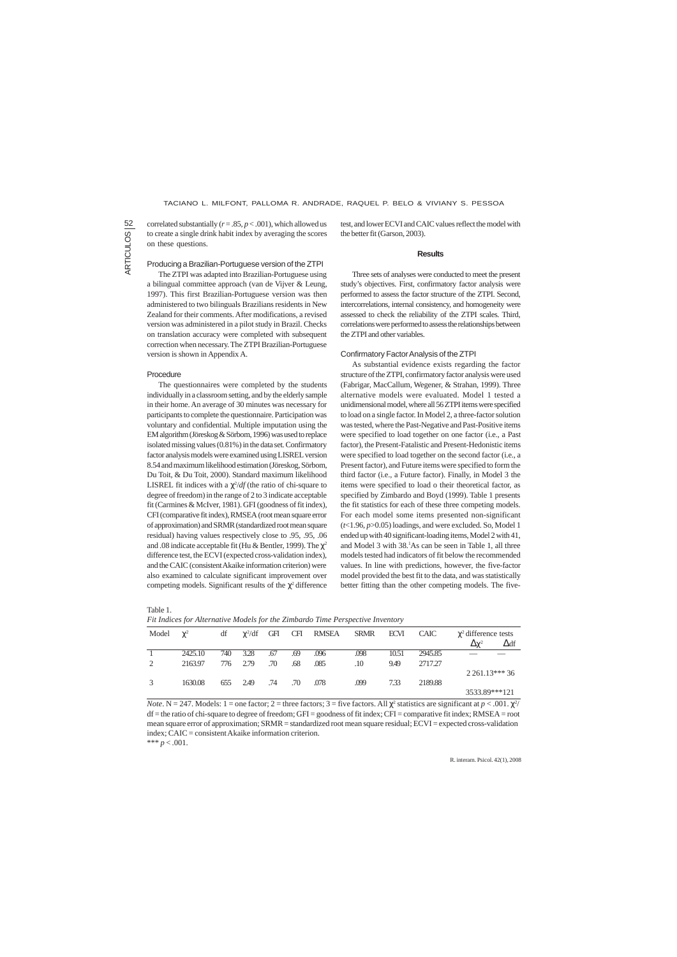ARTICULOS<sup>12</sup> ARTICULOS

R. interam. Psicol. 42(1), 2008

correlated substantially ( $r = .85$ ,  $p < .001$ ), which allowed us to create a single drink habit index by averaging the scores on these questions.

### Producing a Brazilian-Portuguese version of the ZTPI

The questionnaires were completed by the students individually in a classroom setting, and by the elderly sample in their home. An average of 30 minutes was necessary for participants to complete the questionnaire. Participation was voluntary and confidential. Multiple imputation using the EM algorithm (Jöreskog & Sörbom, 1996) was used to replace isolated missing values (0.81%) in the data set. Confirmatory factor analysis models were examined using LISREL version 8.54 and maximum likelihood estimation (Jöreskog, Sörbom, Du Toit, & Du Toit, 2000). Standard maximum likelihood LISREL fit indices with a  $\chi^2/df$  (the ratio of chi-square to degree of freedom) in the range of 2 to 3 indicate acceptable fit (Carmines & McIver, 1981). GFI (goodness of fit index), CFI (comparative fit index), RMSEA (root mean square error of approximation) and SRMR (standardized root mean square residual) having values respectively close to .95, .95, .06 and .08 indicate acceptable fit (Hu & Bentler, 1999). The  $\chi^2$ difference test, the ECVI (expected cross-validation index), and the CAIC (consistent Akaike information criterion) were also examined to calculate significant improvement over competing models. Significant results of the  $\chi^2$  difference

The ZTPI was adapted into Brazilian-Portuguese using a bilingual committee approach (van de Vijver & Leung, 1997). This first Brazilian-Portuguese version was then administered to two bilinguals Brazilians residents in New Zealand for their comments. After modifications, a revised version was administered in a pilot study in Brazil. Checks on translation accuracy were completed with subsequent correction when necessary. The ZTPI Brazilian-Portuguese version is shown in Appendix A.

# Procedure

test, and lower ECVI and CAIC values reflect the model with the better fit (Garson, 2003).

### **Results**

Three sets of analyses were conducted to meet the present study's objectives. First, confirmatory factor analysis were performed to assess the factor structure of the ZTPI. Second, intercorrelations, internal consistency, and homogeneity were assessed to check the reliability of the ZTPI scales. Third, correlations were performed to assess the relationships between the ZTPI and other variables.

#### Confirmatory Factor Analysis of the ZTPI

As substantial evidence exists regarding the factor structure of the ZTPI, confirmatory factor analysis were used (Fabrigar, MacCallum, Wegener, & Strahan, 1999). Three alternative models were evaluated. Model 1 tested a unidimensional model, where all 56 ZTPI items were specified to load on a single factor. In Model 2, a three-factor solution was tested, where the Past-Negative and Past-Positive items were specified to load together on one factor (i.e., a Past factor), the Present-Fatalistic and Present-Hedonistic items were specified to load together on the second factor (i.e., a Present factor), and Future items were specified to form the third factor (i.e., a Future factor). Finally, in Model 3 the items were specified to load o their theoretical factor, as specified by Zimbardo and Boyd (1999). Table 1 presents the fit statistics for each of these three competing models. For each model some items presented non-significant (*t*<1.96, *p*>0.05) loadings, and were excluded. So, Model 1 ended up with 40 significant-loading items, Model 2 with 41, and Model 3 with 38.1 As can be seen in Table 1, all three models tested had indicators of fit below the recommended values. In line with predictions, however, the five-factor model provided the best fit to the data, and was statistically better fitting than the other competing models. The five-

## Table 1.

*Fit Indices for Alternative Models for the Zimbardo Time Perspective Inventory*

| Model | $\gamma^2$ | df  | $\chi^2/df$ | GFI | <b>CFI</b> | RMSEA | SRMR | <b>ECVI</b> | <b>CAIC</b> | $\chi^2$ difference tests<br>$\Delta\chi^2$ | $\Delta df$      |
|-------|------------|-----|-------------|-----|------------|-------|------|-------------|-------------|---------------------------------------------|------------------|
|       | 2425.10    | 740 | 3.28        | .67 | .69        | .096  | .098 | 10.51       | 2945.85     |                                             |                  |
| 2     | 2163.97    | 776 | 2.79        | .70 | .68        | .085  | .10  | 9.49        | 2717.27     |                                             |                  |
|       |            |     |             |     |            |       |      |             |             |                                             | $2\,261.13***36$ |
|       | 1630.08    | 655 | 2.49        | .74 | .70        | .078  | ,099 | 7.33        | 2189.88     |                                             |                  |
|       |            |     |             |     |            |       |      |             |             | 3533.89***121                               |                  |

*Note*. N = 247. Models: 1 = one factor; 2 = three factors; 3 = five factors. All  $\chi^2$  statistics are significant at *p* < .001.  $\chi^2$ / df = the ratio of chi-square to degree of freedom; GFI = goodness of fit index; CFI = comparative fit index; RMSEA = root mean square error of approximation; SRMR = standardized root mean square residual; ECVI = expected cross-validation index; CAIC = consistent Akaike information criterion. \*\*\*  $p < .001$ .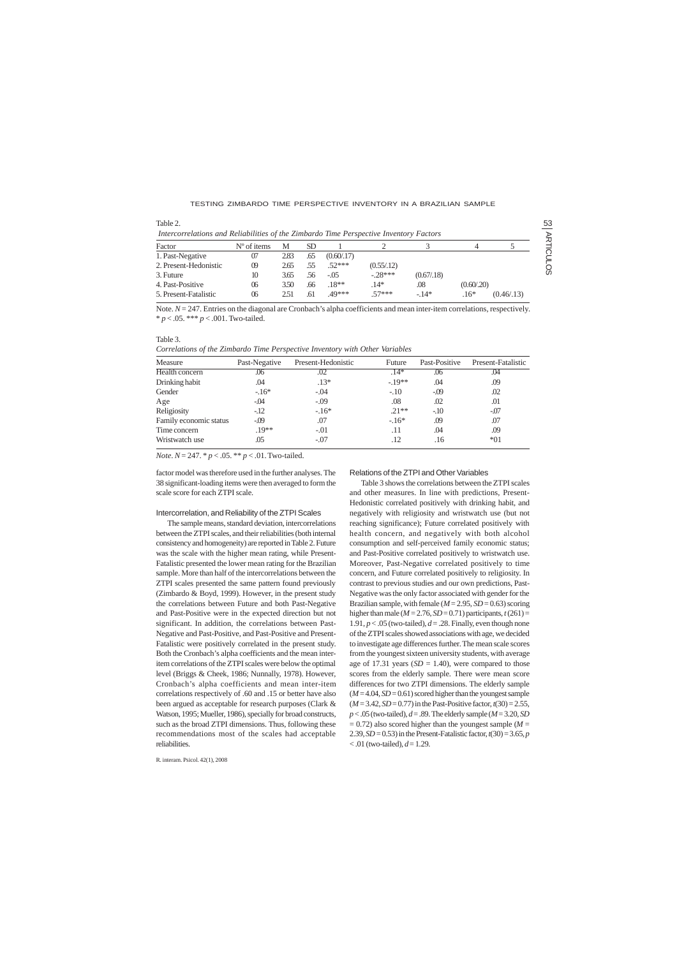factor model was therefore used in the further analyses. The 38 significant-loading items were then averaged to form the scale score for each ZTPI scale.

#### Intercorrelation, and Reliability of the ZTPI Scales

The sample means, standard deviation, intercorrelations between the ZTPI scales, and their reliabilities (both internal consistency and homogeneity) are reported in Table 2. Future was the scale with the higher mean rating, while Present-Fatalistic presented the lower mean rating for the Brazilian sample. More than half of the intercorrelations between the ZTPI scales presented the same pattern found previously (Zimbardo & Boyd, 1999). However, in the present study the correlations between Future and both Past-Negative and Past-Positive were in the expected direction but not significant. In addition, the correlations between Past-Negative and Past-Positive, and Past-Positive and Present-Fatalistic were positively correlated in the present study. Both the Cronbach's alpha coefficients and the mean interitem correlations of the ZTPI scales were below the optimal level (Briggs & Cheek, 1986; Nunnally, 1978). However, Cronbach's alpha coefficients and mean inter-item correlations respectively of .60 and .15 or better have also been argued as acceptable for research purposes (Clark & Watson, 1995; Mueller, 1986), specially for broad constructs,

| Table 2.                                                                               |                      |      |     |             |             |             |             |             |
|----------------------------------------------------------------------------------------|----------------------|------|-----|-------------|-------------|-------------|-------------|-------------|
| Intercorrelations and Reliabilities of the Zimbardo Time Perspective Inventory Factors |                      |      |     |             |             |             |             |             |
| Factor                                                                                 | $N^{\circ}$ of items | M    | SD. |             |             |             |             |             |
| 1. Past-Negative                                                                       | 07                   | 2.83 | .65 | (0.60/0.17) |             |             |             |             |
| 2. Present-Hedonistic                                                                  | $^{09}$              | 2.65 | .55 | $.52***$    | (0.55/0.12) |             |             |             |
| 3. Future                                                                              | 10                   | 3.65 | .56 | $-.05$      | $-28***$    | (0.67/0.18) |             |             |
| 4. Past-Positive                                                                       | 06                   | 3.50 | .66 | $.18**$     | $.14*$      | .08         | (0.60/0.20) |             |
| 5. Present-Fatalistic                                                                  | 06                   | 2.51 | .61 | .49***      | $57***$     | $-14*$      | $.16*$      | (0.46/0.13) |

Note.  $N = 247$ . Entries on the diagonal are Cronbach's alpha coefficients and mean inter-item correlations, respectively. \* *p* < .05. \*\*\* *p* < .001. Two-tailed.

> Table 3 shows the correlations between the ZTPI scales and other measures. In line with predictions, Present-Hedonistic correlated positively with drinking habit, and negatively with religiosity and wristwatch use (but not reaching significance); Future correlated positively with health concern, and negatively with both alcohol consumption and self-perceived family economic status; and Past-Positive correlated positively to wristwatch use. Moreover, Past-Negative correlated positively to time concern, and Future correlated positively to religiosity. In contrast to previous studies and our own predictions, Past-Negative was the only factor associated with gender for the Brazilian sample, with female (*M* = 2.95, *SD* = 0.63) scoring higher than male ( $M = 2.76$ ,  $SD = 0.71$ ) participants,  $t(261) =$ 1.91,  $p < .05$  (two-tailed),  $d = .28$ . Finally, even though none of the ZTPI scales showed associations with age, we decided to investigate age differences further. The mean scale scores from the youngest sixteen university students, with average age of 17.31 years  $(SD = 1.40)$ , were compared to those scores from the elderly sample. There were mean score differences for two ZTPI dimensions. The elderly sample  $(M = 4.04, SD = 0.61)$  scored higher than the youngest sample  $(M = 3.42, SD = 0.77)$  in the Past-Positive factor,  $t(30) = 2.55$ , *p* < .05 (two-tailed), *d* = .89. The elderly sample (*M* = 3.20, *SD*  $= 0.72$ ) also scored higher than the youngest sample ( $M =$ 2.39, *SD* = 0.53) in the Present-Fatalistic factor, *t*(30) = 3.65, *p*  $< .01$  (two-tailed),  $d = 1.29$ .

such as the broad ZTPI dimensions. Thus, following these recommendations most of the scales had acceptable reliabilities.

### Table 3.

*Correlations of the Zimbardo Time Perspective Inventory with Other Variables*

| Measure                | Past-Negative | Present-Hedonistic | Future   | Past-Positive | Present-Fatalistic |
|------------------------|---------------|--------------------|----------|---------------|--------------------|
| Health concern         | .06           | .02                | $.14*$   | .06           | .04                |
| Drinking habit         | .04           | $.13*$             | $-.19**$ | .04           | .09                |
| Gender                 | $-16*$        | $-.04$             | $-.10$   | $-0.09$       | .02                |
| Age                    | $-.04$        | $-.09$             | .08      | .02           | .01                |
| Religiosity            | $-12$         | $-.16*$            | $.21**$  | $-10$         | $-.07$             |
| Family economic status | $-0.09$       | .07                | $-16*$   | .09           | .07                |
| Time concern           | $.19**$       | $-.01$             | .11      | .04           | .09                |
| Wristwatch use         | .05           | -.07               | .12      | .16           | $*01$              |

*Note*. *N* = 247. \* *p* < .05. \*\* *p* < .01. Two-tailed.

### Relations of the ZTPI and Other Variables

### TESTING ZIMBARDO TIME PERSPECTIVE INVENTORY IN A BRAZILIAN SAMPLE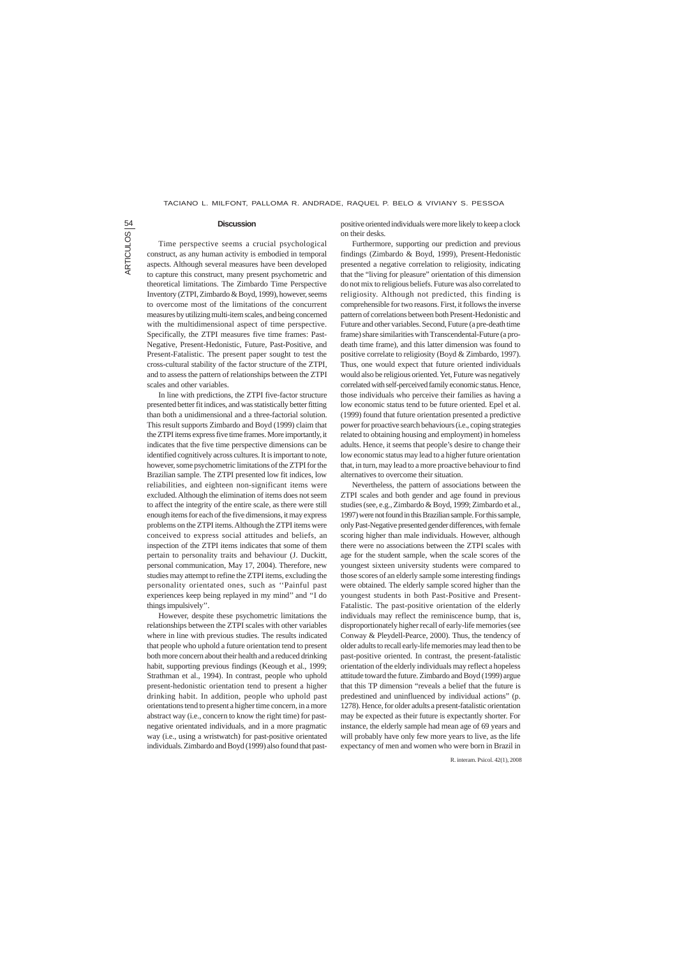ARTICULOS<sup>12</sup> ARTICULOS

R. interam. Psicol. 42(1), 2008

### **Discussion**

Time perspective seems a crucial psychological construct, as any human activity is embodied in temporal aspects. Although several measures have been developed to capture this construct, many present psychometric and theoretical limitations. The Zimbardo Time Perspective Inventory (ZTPI, Zimbardo & Boyd, 1999), however, seems to overcome most of the limitations of the concurrent measures by utilizing multi-item scales, and being concerned with the multidimensional aspect of time perspective. Specifically, the ZTPI measures five time frames: Past-Negative, Present-Hedonistic, Future, Past-Positive, and Present-Fatalistic. The present paper sought to test the cross-cultural stability of the factor structure of the ZTPI, and to assess the pattern of relationships between the ZTPI scales and other variables.

In line with predictions, the ZTPI five-factor structure presented better fit indices, and was statistically better fitting than both a unidimensional and a three-factorial solution. This result supports Zimbardo and Boyd (1999) claim that the ZTPI items express five time frames. More importantly, it indicates that the five time perspective dimensions can be identified cognitively across cultures. It is important to note, however, some psychometric limitations of the ZTPI for the Brazilian sample. The ZTPI presented low fit indices, low reliabilities, and eighteen non-significant items were excluded. Although the elimination of items does not seem to affect the integrity of the entire scale, as there were still enough items for each of the five dimensions, it may express problems on the ZTPI items. Although the ZTPI items were conceived to express social attitudes and beliefs, an inspection of the ZTPI items indicates that some of them pertain to personality traits and behaviour (J. Duckitt, personal communication, May 17, 2004). Therefore, new studies may attempt to refine the ZTPI items, excluding the personality orientated ones, such as ''Painful past experiences keep being replayed in my mind'' and ''I do things impulsively''.

However, despite these psychometric limitations the relationships between the ZTPI scales with other variables where in line with previous studies. The results indicated that people who uphold a future orientation tend to present both more concern about their health and a reduced drinking habit, supporting previous findings (Keough et al., 1999; Strathman et al., 1994). In contrast, people who uphold present-hedonistic orientation tend to present a higher drinking habit. In addition, people who uphold past orientations tend to present a higher time concern, in a more abstract way (i.e., concern to know the right time) for past-

negative orientated individuals, and in a more pragmatic way (i.e., using a wristwatch) for past-positive orientated individuals. Zimbardo and Boyd (1999) also found that pastpositive oriented individuals were more likely to keep a clock on their desks.

Furthermore, supporting our prediction and previous findings (Zimbardo & Boyd, 1999), Present-Hedonistic presented a negative correlation to religiosity, indicating that the "living for pleasure" orientation of this dimension do not mix to religious beliefs. Future was also correlated to religiosity. Although not predicted, this finding is comprehensible for two reasons. First, it follows the inverse pattern of correlations between both Present-Hedonistic and Future and other variables. Second, Future (a pre-death time frame) share similarities with Transcendental-Future (a prodeath time frame), and this latter dimension was found to positive correlate to religiosity (Boyd & Zimbardo, 1997). Thus, one would expect that future oriented individuals would also be religious oriented. Yet, Future was negatively correlated with self-perceived family economic status. Hence, those individuals who perceive their families as having a low economic status tend to be future oriented. Epel et al. (1999) found that future orientation presented a predictive power for proactive search behaviours (i.e., coping strategies related to obtaining housing and employment) in homeless adults. Hence, it seems that people's desire to change their low economic status may lead to a higher future orientation that, in turn, may lead to a more proactive behaviour to find alternatives to overcome their situation.

Nevertheless, the pattern of associations between the ZTPI scales and both gender and age found in previous studies (see, e.g., Zimbardo & Boyd, 1999; Zimbardo et al., 1997) were not found in this Brazilian sample. For this sample, only Past-Negative presented gender differences, with female scoring higher than male individuals. However, although there were no associations between the ZTPI scales with age for the student sample, when the scale scores of the youngest sixteen university students were compared to those scores of an elderly sample some interesting findings were obtained. The elderly sample scored higher than the youngest students in both Past-Positive and Present-Fatalistic. The past-positive orientation of the elderly individuals may reflect the reminiscence bump, that is, disproportionately higher recall of early-life memories (see Conway & Pleydell-Pearce, 2000). Thus, the tendency of older adults to recall early-life memories may lead then to be past-positive oriented. In contrast, the present-fatalistic orientation of the elderly individuals may reflect a hopeless attitude toward the future. Zimbardo and Boyd (1999) argue that this TP dimension "reveals a belief that the future is predestined and uninfluenced by individual actions" (p. 1278). Hence, for older adults a present-fatalistic orientation may be expected as their future is expectantly shorter. For instance, the elderly sample had mean age of 69 years and will probably have only few more years to live, as the life expectancy of men and women who were born in Brazil in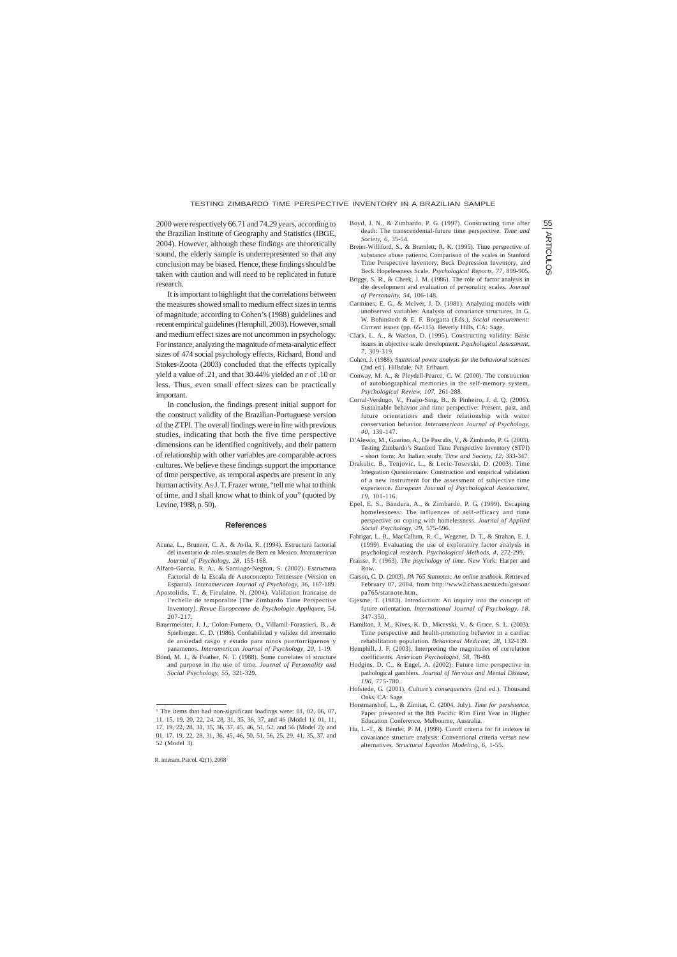2000 were respectively 66.71 and 74.29 years, according to the Brazilian Institute of Geography and Statistics (IBGE, 2004). However, although these findings are theoretically sound, the elderly sample is underrepresented so that any conclusion may be biased. Hence, these findings should be taken with caution and will need to be replicated in future research.

It is important to highlight that the correlations between the measures showed small to medium effect sizes in terms of magnitude, according to Cohen's (1988) guidelines and recent empirical guidelines (Hemphill, 2003). However, small and medium effect sizes are not uncommon in psychology. For instance, analyzing the magnitude of meta-analytic effect sizes of 474 social psychology effects, Richard, Bond and Stokes-Zoota (2003) concluded that the effects typically yield a value of .21, and that 30.44% yielded an *r* of .10 or less. Thus, even small effect sizes can be practically important.

In conclusion, the findings present initial support for the construct validity of the Brazilian-Portuguese version of the ZTPI. The overall findings were in line with previous studies, indicating that both the five time perspective dimensions can be identified cognitively, and their pattern of relationship with other variables are comparable across cultures. We believe these findings support the importance of time perspective, as temporal aspects are present in any human activity. As J. T. Frazer wrote, "tell me what to think of time, and I shall know what to think of you" (quoted by Levine, 1988, p. 50).

#### **References**

- Acuna, L., Brunner, C. A., & Avila, R. (1994). Estructura factorial del inventario de roles sexuales de Bem en Mexico. *Interamerican Journal of Psychology, 28*, 155-168.
- Alfaro-Garcia, R. A., & Santiago-Negron, S. (2002). Estructura Factorial de la Escala de Autoconcepto Tennessee (Version en Espanol). *Interamerican Journal of Psychology, 36*, 167-189.
- Apostolidis, T., & Fieulaine, N. (2004). Validation francaise de l'echelle de temporalite [The Zimbardo Time Perspective Inventory]. *Revue Europeenne de Psychologie Appliquee, 54*, 207-217.
- Bauermeister, J. J., Colon-Fumero, O., Villamil-Forastieri, B., & Spielberger, C. D. (1986). Confiabilidad y validez del inventario de ansiedad rasgo y estado para ninos puertorriquenos y panamenos. *Interamerican Journal of Psychology, 20*, 1-19.
- Bond, M. J., & Feather, N. T. (1988). Some correlates of structure and purpose in the use of time*. Journal of Personality and Social Psychology, 55,* 321-329.
- Boyd, J. N., & Zimbardo, P. G. (1997). Constructing time after death: The transcendental-future time perspective. *Time and Society, 6*, 35-54.
- Breier-Williford, S., & Bramlett, R. K. (1995). Time perspective of substance abuse patients: Comparison of the scales in Stanford Time Perspective Inventory, Beck Depression Inventory, and Beck Hopelessness Scale. *Psychological Reports, 77,* 899-905.
- Briggs, S. R., & Cheek, J. M. (1986). The role of factor analysis in the development and evaluation of personality scales. *Journal of Personality, 54*, 106-148.
- Carmines, E. G., & McIver, J. D. (1981). Analyzing models with unobserved variables: Analysis of covariance structures. In G. W. Bohinstedt & E. F. Borgatta (Eds.), *Social measurement: Current issues* (pp. 65-115). Beverly Hills, CA: Sage.
- Clark, L. A., & Watson, D. (1995). Constructing validity: Basic issues in objective scale development. *Psychological Assessment, 7*, 309-319.
- Cohen, J. (1988). *Statistical power analysis for the behavioral sciences* (2nd ed.). Hillsdale, NJ: Erlbaum.
- Conway, M. A., & Pleydell-Pearce, C. W. (2000). The construction of autobiographical memories in the self-memory system. *Psychological Review, 107,* 261-288.
- Corral-Verdugo, V., Fraijo-Sing, B., & Pinheiro, J. d. Q. (2006). Sustainable behavior and time perspective: Present, past, and future orientations and their relationship with water conservation behavior. *Interamerican Journal of Psychology, 40*, 139-147.
- D'Alessio, M., Guarino, A., De Pascalis, V., & Zimbardo, P. G. (2003). Testing Zimbardo's Stanford Time Perspective Inventory (STPI) - short form: An Italian study. *Time and Society, 12*, 333-347.
- Drakulic, B., Tenjovic, L., & Lecic-Tosevski, D. (2003). Time Integration Questionnaire. Construction and empirical validation of a new instrument for the assessment of subjective time experience. *European Journal of Psychological Assessment, 19*, 101-116.
- Epel, E. S., Bandura, A., & Zimbardo, P. G. (1999). Escaping homelessness: The influences of self-efficacy and time perspective on coping with homelessness. *Journal of Applied Social Psychology, 29*, 575-596.
- Fabrigar, L. R., MacCallum, R. C., Wegener, D. T., & Strahan, E. J. (1999). Evaluating the use of exploratory factor analysis in psychological research. *Psychological Methods, 4*, 272-299.
- Fraisse, P. (1963). *The psychology of time*. New York: Harper and Row.
- Garson, G. D. (2003). *PA 765 Statnotes: An online textbook.* Retrieved February 07, 2004, from http://www2.chass.ncsu.edu/garson/ pa765/statnote.htm.
- Gjesme, T. (1983). Introduction: An inquiry into the concept of future orientation. *International Journal of Psychology, 18,* 347-350.
- Hamilton, J. M., Kives, K. D., Micevski, V., & Grace, S. L. (2003). Time perspective and health-promoting behavior in a cardiac rehabilitation population. *Behavioral Medicine, 28*, 132-139.
- Hemphill, J. F. (2003). Interpreting the magnitudes of correlation coefficients. *American Psychologist, 58*, 78-80.
- Hodgins, D. C., & Engel, A. (2002). Future time perspective in pathological gamblers. *Journal of Nervous and Mental Disease, 190*, 775-780.
- Hofstede, G. (2001). *Culture's consequences* (2nd ed.). Thousand Oaks, CA: Sage.
- Horstmanshof, L., & Zimitat, C. (2004, July). *Time for persistence*. Paper presented at the 8th Pacific Rim First Year in Higher Education Conference, Melbourne, Australia.

Hu, L.-T., & Bentler, P. M. (1999). Cutoff criteria for fit indexes in covariance structure analysis: Conventional criteria versus new alternatives. *Structural Equation Modeling, 6,* 1-55.

17, 19, 22, 28, 31, 35, 36, 37, 45, 46, 51, 52, and 56 (Model 2); and 01, 17, 19, 22, 28, 31, 36, 45, 46, 50, 51, 56, 25, 29, 41, 35, 37, and 52 (Model 3).

### TESTING ZIMBARDO TIME PERSPECTIVE INVENTORY IN A BRAZILIAN SAMPLE

<sup>&</sup>lt;sup>1</sup> The items that had non-significant loadings were: 01, 02, 06, 07, 11, 15, 19, 20, 22, 24, 28, 31, 35, 36, 37, and 46 (Model 1); 01, 11,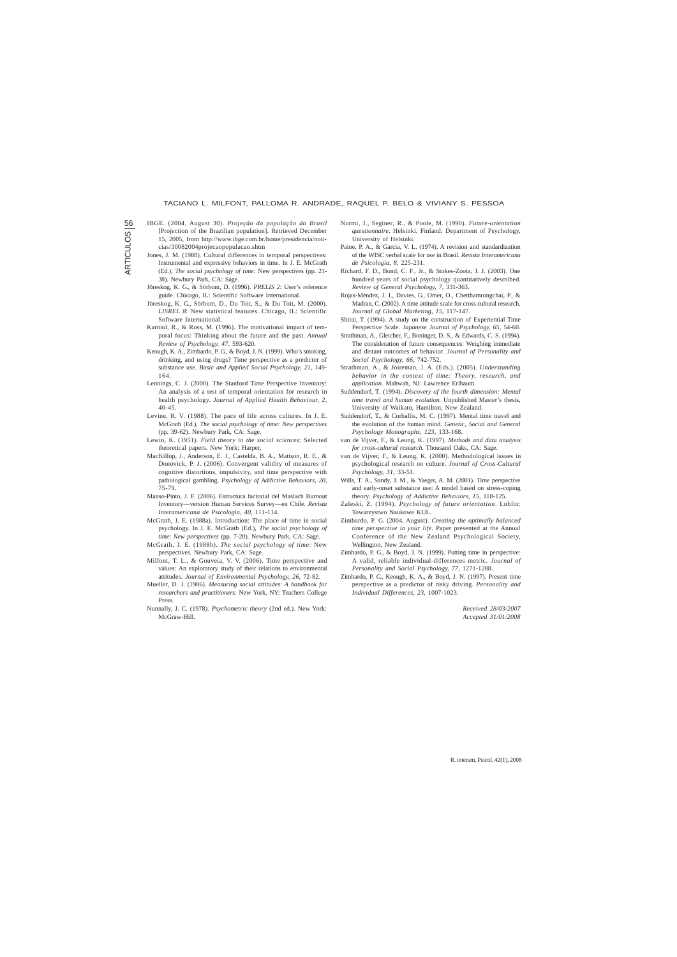56

R. interam. Psicol. 42(1), 2008

- IBGE. (2004, August 30). *Projeção da população do Brasil* [Projection of the Brazilian population]. Retrieved December 15, 2005, from http://www.ibge.com.br/home/presidencia/noti
	- cias/30082004projecaopopulacao.shtm
- - Jones, J. M. (1988). Cultural differences in temporal perspectives: Instrumental and expressive behaviors in time. In J. E. McGrath (Ed.), *The social psychology of time:* New perspectives (pp. 21- 38). Newbury Park, CA: Sage.
	- Jöreskog, K. G., & Sörbom, D. (1996). *PRELIS 2*: User's reference guide. Chicago, IL: Scientific Software International.
	- Jöreskog, K. G., Sörbom, D., Du Toit, S., & Du Toit, M. (2000). *LISREL 8*: New statistical features. Chicago, IL: Scientific Software International.
	- Karniol, R., & Ross, M. (1996). The motivational impact of temporal focus: Thinking about the future and the past. *Annual Review of Psychology, 47*, 593-620.
	- Keough, K. A., Zimbardo, P. G., & Boyd, J. N. (1999). Who's smoking, drinking, and using drugs? Time perspective as a predictor of substance use. *Basic and Applied Social Psychology, 21*, 149- 164.
	- Lennings, C. J. (2000). The Stanford Time Perspective Inventory: An analysis of a test of temporal orientation for research in health psychology. *Journal of Applied Health Behaviour, 2*, 40-45.
	- Levine, R. V. (1988). The pace of life across cultures. In J. E. McGrath (Ed.), *The social psychology of time: New perspectives* (pp. 39-62). Newbury Park, CA: Sage.
	- Lewin, K. (1951). *Field theory in the social sciences*: Selected theoretical papers. New York: Harper.
	- MacKillop, J., Anderson, E. J., Castelda, B. A., Mattson, R. E., & Donovick, P. J. (2006). Convergent validity of measures of cognitive distortions, impulsivity, and time perspective with pathological gambling. *Psychology of Addictive Behaviors, 20*, 75-79.
	- Manso-Pinto, J. F. (2006). Estructura factorial del Maslach Burnout Inventory—version Human Services Survey—en Chile. *Revista Interamericana de Psicologia, 40*, 111-114.
	- McGrath, J. E. (1988a). Introduction: The place of time in social psychology. In J. E. McGrath (Ed.), *The social psychology of time*: *New perspectives* (pp. 7-20). Newbury Park, CA: Sage.
	- McGrath, J. E. (1988b). *The social psychology of time*: New perspectives. Newbury Park, CA: Sage.
	- Milfont, T. L., & Gouveia, V. V. (2006). Time perspective and values: An exploratory study of their relations to environmental attitudes. *Journal of Environmental Psychology, 26*, 72-82.
	- Mueller, D. J. (1986). *Measuring social attitudes*: *A handbook for researchers and practitioners*. New York, NY: Teachers College Press.
	- Nunnally, J. C. (1978). *Psychometric theory* (2nd ed.). New York: McGraw-Hill.
- Nurmi, J., Seginer, R., & Poole, M. (1990). *Future-orientation questionnaire*. Helsinki, Finland: Department of Psychology, University of Helsinki.
- Paine, P. A., & Garcia, V. L. (1974). A revision and standardization of the WISC verbal scale for use in Brasil. *Revista Interamericana de Psicologia, 8,* 225-231.
- Richard, F. D., Bond, C. F., Jr., & Stokes-Zoota, J. J. (2003). One hundred years of social psychology quantitatively described. *Review of General Psychology, 7,* 331-363.
- Rojas-Méndez, J. I., Davies, G., Omer, O., Chetthamrongchai, P., & Madran, C. (2002). A time attitude scale for cross cultural research. *Journal of Global Marketing, 15*, 117-147.
- Shirai, T. (1994). A study on the construction of Experiential Time Perspective Scale. *Japanese Journal of Psychology, 65*, 54-60.
- Strathman, A., Gleicher, F., Boninger, D. S., & Edwards, C. S. (1994). The consideration of future consequences: Weighing immediate and distant outcomes of behavior. *Journal of Personality and Social Psychology, 66,* 742-752.
- Strathman, A., & Joireman, J. A. (Eds.). (2005). *Understanding behavior in the context of time: Theory, research, and application.* Mahwah, NJ: Lawrence Erlbaum.
- Suddendorf, T. (1994). *Discovery of the fourth dimension: Mental time travel and human evolution.* Unpublished Master's thesis, University of Waikato, Hamilton, New Zealand.
- Suddendorf, T., & Corballis, M. C. (1997). Mental time travel and the evolution of the human mind. *Genetic, Social and General Psychology Monographs, 123,* 133-168.
- van de Vijver, F., & Leung, K. (1997). *Methods and data analysis for cross-cultural research*. Thousand Oaks, CA: Sage.
- van de Vijver, F., & Leung, K. (2000). Methodological issues in psychological research on culture. *Journal of Cross-Cultural Psychology, 31*, 33-51.
- Wills, T. A., Sandy, J. M., & Yaeger, A. M. (2001). Time perspective and early-onset substance use: A model based on stress-coping theory. *Psychology of Addictive Behaviors, 15,* 118-125.
- Zaleski, Z. (1994). *Psychology of future orientation*. Lublin: Towarzystwo Naukowe KUL.
- Zimbardo, P. G. (2004, August). *Creating the optimally balanced time perspective in your life.* Paper presented at the Annual Conference of the New Zealand Psychological Society, Wellington, New Zealand.
- Zimbardo, P. G., & Boyd, J. N. (1999). Putting time in perspective: A valid, reliable individual-differences metric. *Journal of Personality and Social Psychology, 77*, 1271-1288.
- Zimbardo, P. G., Keough, K. A., & Boyd, J. N. (1997). Present time perspective as a predictor of risky driving. *Personality and Individual Differences, 23,* 1007-1023.

*Received 28/03/2007 Accepted 31/01/2008*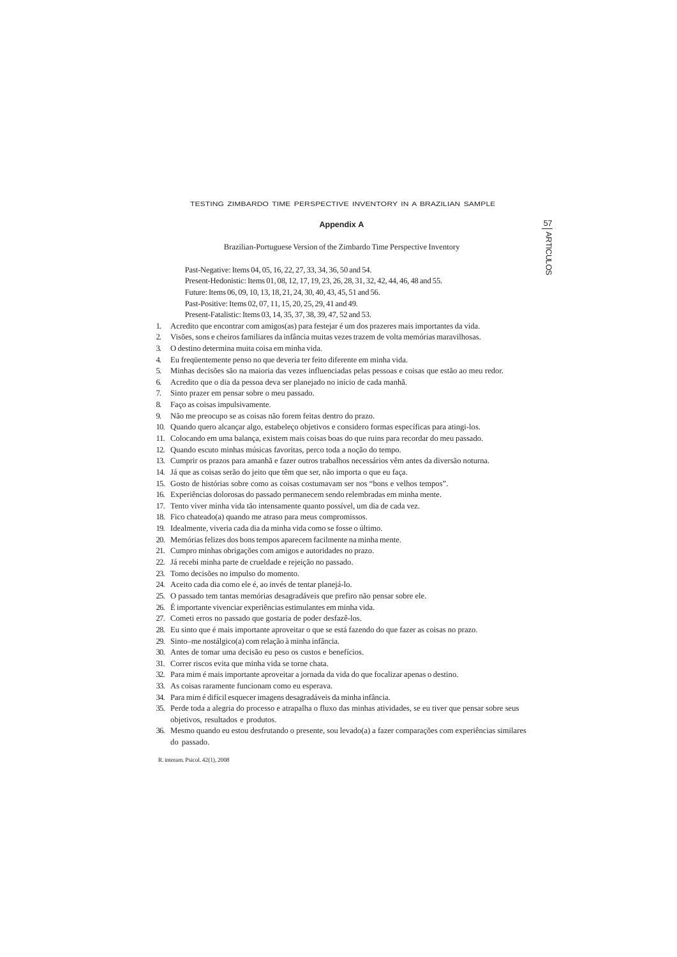# **Appendix A**

Brazilian-Portuguese Version of the Zimbardo Time Perspective Inventory

Past-Negative: Items 04, 05, 16, 22, 27, 33, 34, 36, 50 and 54.

Present-Hedonistic: Items 01, 08, 12, 17, 19, 23, 26, 28, 31, 32, 42, 44, 46, 48 and 55.

Future: Items 06, 09, 10, 13, 18, 21, 24, 30, 40, 43, 45, 51 and 56.

Past-Positive: Items 02, 07, 11, 15, 20, 25, 29, 41 and 49.

Present-Fatalistic: Items 03, 14, 35, 37, 38, 39, 47, 52 and 53.

- 1. Acredito que encontrar com amigos(as) para festejar é um dos prazeres mais importantes da vida.
- 2. Visões, sons e cheiros familiares da infância muitas vezes trazem de volta memórias maravilhosas.
- 3. O destino determina muita coisa em minha vida.
- 4. Eu freqüentemente penso no que deveria ter feito diferente em minha vida.
- 5. Minhas decisões são na maioria das vezes influenciadas pelas pessoas e coisas que estão ao meu redor.
- 6. Acredito que o dia da pessoa deva ser planejado no início de cada manhã.
- 7. Sinto prazer em pensar sobre o meu passado.
- 8. Faço as coisas impulsivamente.
- 9. Não me preocupo se as coisas não forem feitas dentro do prazo.
- 10. Quando quero alcançar algo, estabeleço objetivos e considero formas específicas para atingi-los.
- 11. Colocando em uma balança, existem mais coisas boas do que ruins para recordar do meu passado.
- 12. Quando escuto minhas músicas favoritas, perco toda a noção do tempo.
- 13. Cumprir os prazos para amanhã e fazer outros trabalhos necessários vêm antes da diversão noturna.
- 14. Já que as coisas serão do jeito que têm que ser, não importa o que eu faça.
- 15. Gosto de histórias sobre como as coisas costumavam ser nos "bons e velhos tempos".
- 16. Experiências dolorosas do passado permanecem sendo relembradas em minha mente.
- 17. Tento viver minha vida tão intensamente quanto possível, um dia de cada vez.
- 18. Fico chateado(a) quando me atraso para meus compromissos.
- 19. Idealmente, viveria cada dia da minha vida como se fosse o último.
- 20. Memórias felizes dos bons tempos aparecem facilmente na minha mente.
- 21. Cumpro minhas obrigações com amigos e autoridades no prazo.
- 22. Já recebi minha parte de crueldade e rejeição no passado.
- 23. Tomo decisões no impulso do momento.
- 24. Aceito cada dia como ele é, ao invés de tentar planejá-lo.
- 25. O passado tem tantas memórias desagradáveis que prefiro não pensar sobre ele.
- 26. É importante vivenciar experiências estimulantes em minha vida.
- 27. Cometi erros no passado que gostaria de poder desfazê-los.
- 28. Eu sinto que é mais importante aproveitar o que se está fazendo do que fazer as coisas no prazo.
- 29. Sinto–me nostálgico(a) com relação à minha infância.
- 30. Antes de tomar uma decisão eu peso os custos e benefícios.
- 31. Correr riscos evita que minha vida se torne chata.
- 32. Para mim é mais importante aproveitar a jornada da vida do que focalizar apenas o destino.
- 33. As coisas raramente funcionam como eu esperava.
- 34. Para mim é difícil esquecer imagens desagradáveis da minha infância.
- 35. Perde toda a alegria do processo e atrapalha o fluxo das minhas atividades, se eu tiver que pensar sobre seus objetivos, resultados e produtos.
- 
- 36. Mesmo quando eu estou desfrutando o presente, sou levado(a) a fazer comparações com experiências similares do passado.

# TESTING ZIMBARDO TIME PERSPECTIVE INVENTORY IN A BRAZILIAN SAMPLE